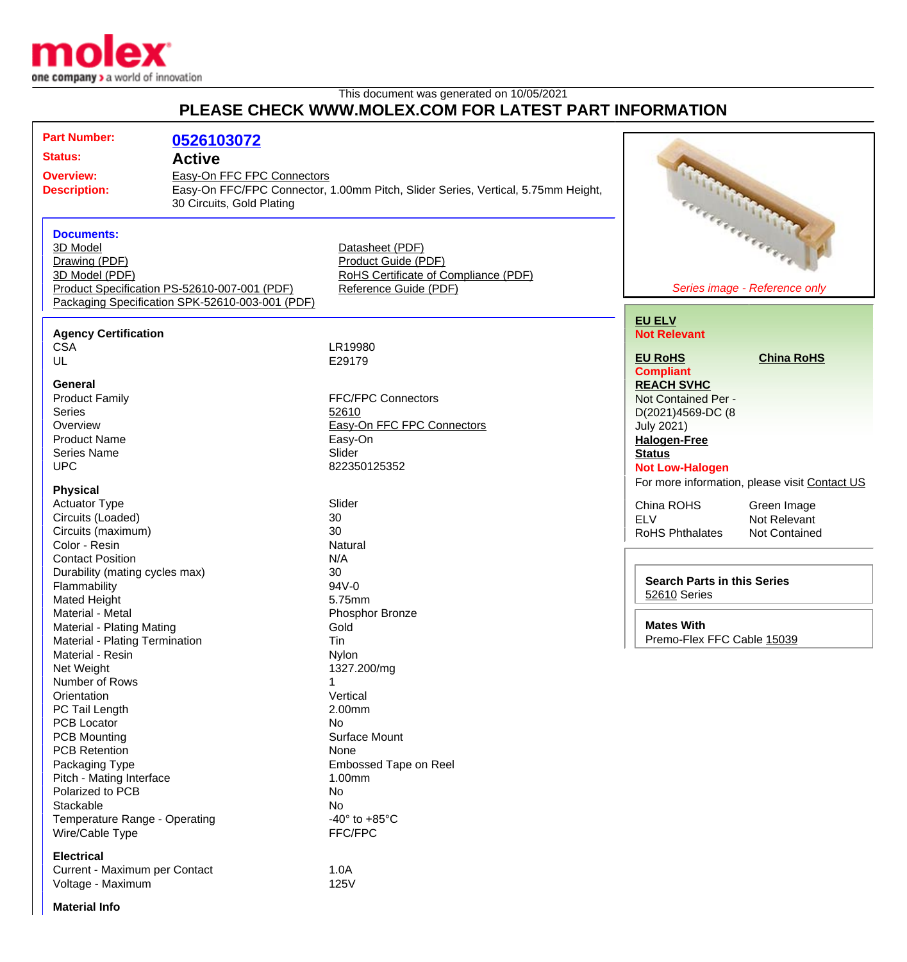

## This document was generated on 10/05/2021 **PLEASE CHECK WWW.MOLEX.COM FOR LATEST PART INFORMATION**

| <b>Part Number:</b>            | 0526103072                                                                                                                                                                                              |                                      |                                               |
|--------------------------------|---------------------------------------------------------------------------------------------------------------------------------------------------------------------------------------------------------|--------------------------------------|-----------------------------------------------|
| <b>Status:</b>                 | <b>Active</b><br><b>Overview:</b><br>Easy-On FFC FPC Connectors<br>Easy-On FFC/FPC Connector, 1.00mm Pitch, Slider Series, Vertical, 5.75mm Height,<br><b>Description:</b><br>30 Circuits, Gold Plating |                                      |                                               |
|                                |                                                                                                                                                                                                         |                                      |                                               |
|                                |                                                                                                                                                                                                         |                                      |                                               |
|                                |                                                                                                                                                                                                         |                                      |                                               |
|                                |                                                                                                                                                                                                         |                                      |                                               |
| <b>Documents:</b>              |                                                                                                                                                                                                         |                                      | Report of Children 11                         |
| 3D Model                       |                                                                                                                                                                                                         | Datasheet (PDF)                      |                                               |
| Drawing (PDF)                  |                                                                                                                                                                                                         | Product Guide (PDF)                  |                                               |
| 3D Model (PDF)                 |                                                                                                                                                                                                         | RoHS Certificate of Compliance (PDF) |                                               |
|                                | Product Specification PS-52610-007-001 (PDF)                                                                                                                                                            | Reference Guide (PDF)                | Series image - Reference only                 |
|                                | Packaging Specification SPK-52610-003-001 (PDF)                                                                                                                                                         |                                      |                                               |
|                                |                                                                                                                                                                                                         |                                      | <b>EU ELV</b>                                 |
| <b>Agency Certification</b>    |                                                                                                                                                                                                         |                                      | <b>Not Relevant</b>                           |
| <b>CSA</b>                     |                                                                                                                                                                                                         | LR19980                              |                                               |
| UL                             |                                                                                                                                                                                                         | E29179                               | <b>EU RoHS</b><br><b>China RoHS</b>           |
|                                |                                                                                                                                                                                                         |                                      | <b>Compliant</b>                              |
| General                        |                                                                                                                                                                                                         |                                      | <b>REACH SVHC</b>                             |
| <b>Product Family</b>          |                                                                                                                                                                                                         | <b>FFC/FPC Connectors</b>            | Not Contained Per -                           |
| <b>Series</b>                  |                                                                                                                                                                                                         | 52610                                | D(2021)4569-DC (8                             |
| Overview                       |                                                                                                                                                                                                         | Easy-On FFC FPC Connectors           | <b>July 2021)</b>                             |
| <b>Product Name</b>            |                                                                                                                                                                                                         | Easy-On                              | <b>Halogen-Free</b>                           |
| <b>Series Name</b>             |                                                                                                                                                                                                         | Slider                               | <b>Status</b>                                 |
| <b>UPC</b>                     |                                                                                                                                                                                                         | 822350125352                         | <b>Not Low-Halogen</b>                        |
|                                |                                                                                                                                                                                                         |                                      | For more information, please visit Contact US |
| <b>Physical</b>                |                                                                                                                                                                                                         |                                      |                                               |
| <b>Actuator Type</b>           |                                                                                                                                                                                                         | Slider                               | China ROHS<br>Green Image                     |
| Circuits (Loaded)              |                                                                                                                                                                                                         | 30                                   | <b>ELV</b><br>Not Relevant                    |
| Circuits (maximum)             |                                                                                                                                                                                                         | 30                                   | <b>RoHS Phthalates</b><br>Not Contained       |
| Color - Resin                  |                                                                                                                                                                                                         | Natural                              |                                               |
| <b>Contact Position</b>        |                                                                                                                                                                                                         | N/A                                  |                                               |
| Durability (mating cycles max) |                                                                                                                                                                                                         | 30                                   | <b>Search Parts in this Series</b>            |
| Flammability                   |                                                                                                                                                                                                         | 94V-0                                | 52610 Series                                  |
| <b>Mated Height</b>            |                                                                                                                                                                                                         | 5.75mm                               |                                               |
| Material - Metal               |                                                                                                                                                                                                         | Phosphor Bronze                      |                                               |
| Material - Plating Mating      |                                                                                                                                                                                                         | Gold                                 | <b>Mates With</b>                             |
| Material - Plating Termination |                                                                                                                                                                                                         | Tin                                  | Premo-Flex FFC Cable 15039                    |
| Material - Resin               |                                                                                                                                                                                                         | Nylon                                |                                               |
| Net Weight                     |                                                                                                                                                                                                         | 1327.200/mg                          |                                               |
| Number of Rows                 |                                                                                                                                                                                                         |                                      |                                               |
| Orientation                    |                                                                                                                                                                                                         | Vertical                             |                                               |
| PC Tail Length                 |                                                                                                                                                                                                         | 2.00mm                               |                                               |
| <b>PCB Locator</b>             |                                                                                                                                                                                                         | <b>No</b>                            |                                               |
| <b>PCB Mounting</b>            |                                                                                                                                                                                                         | Surface Mount                        |                                               |
| <b>PCB Retention</b>           |                                                                                                                                                                                                         | None                                 |                                               |
| Packaging Type                 |                                                                                                                                                                                                         | Embossed Tape on Reel                |                                               |
| Pitch - Mating Interface       |                                                                                                                                                                                                         | 1.00mm                               |                                               |
| Polarized to PCB<br>Stackable  |                                                                                                                                                                                                         | No                                   |                                               |
|                                |                                                                                                                                                                                                         | No                                   |                                               |
| Temperature Range - Operating  |                                                                                                                                                                                                         | -40 $\degree$ to +85 $\degree$ C     |                                               |
| Wire/Cable Type                |                                                                                                                                                                                                         | FFC/FPC                              |                                               |
| <b>Electrical</b>              |                                                                                                                                                                                                         |                                      |                                               |
| Current - Maximum per Contact  |                                                                                                                                                                                                         | 1.0A                                 |                                               |
| Voltage - Maximum              |                                                                                                                                                                                                         | 125V                                 |                                               |

Voltage - Maximum

**Material Info**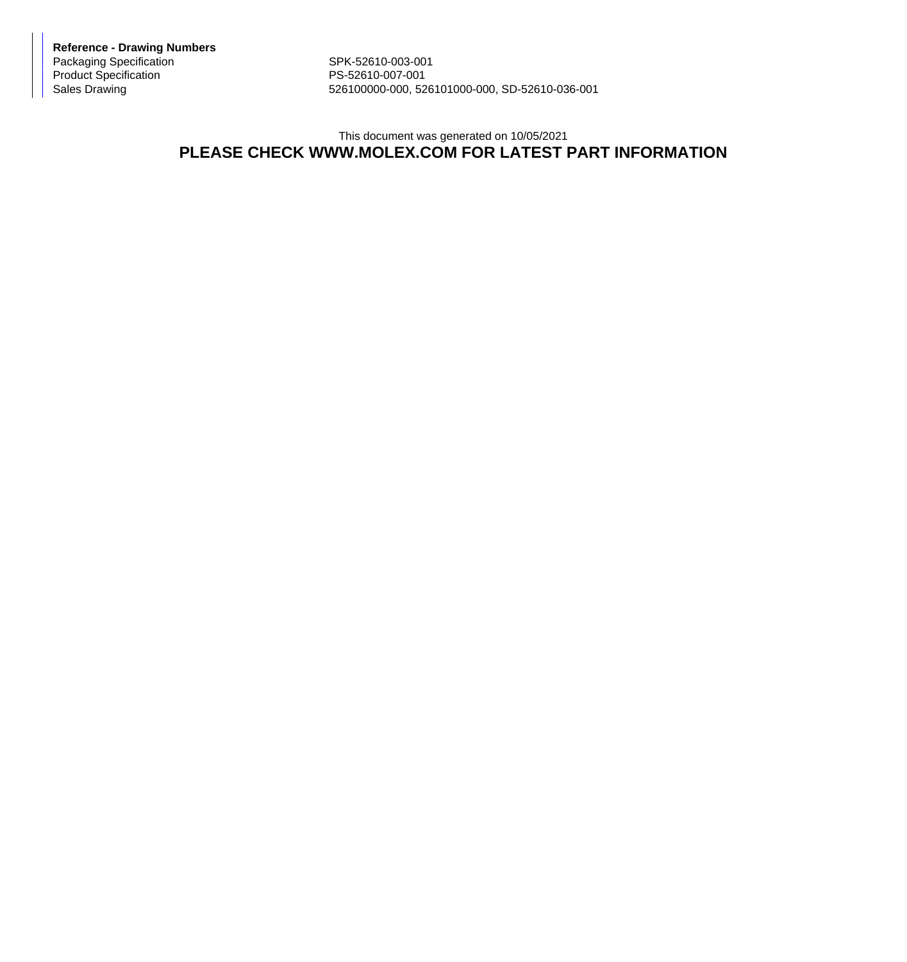**Reference - Drawing Numbers** Packaging Specification SPK-52610-003-001 Product Specification PS-52610-007-001

526100000-000, 526101000-000, SD-52610-036-001

## This document was generated on 10/05/2021 **PLEASE CHECK WWW.MOLEX.COM FOR LATEST PART INFORMATION**